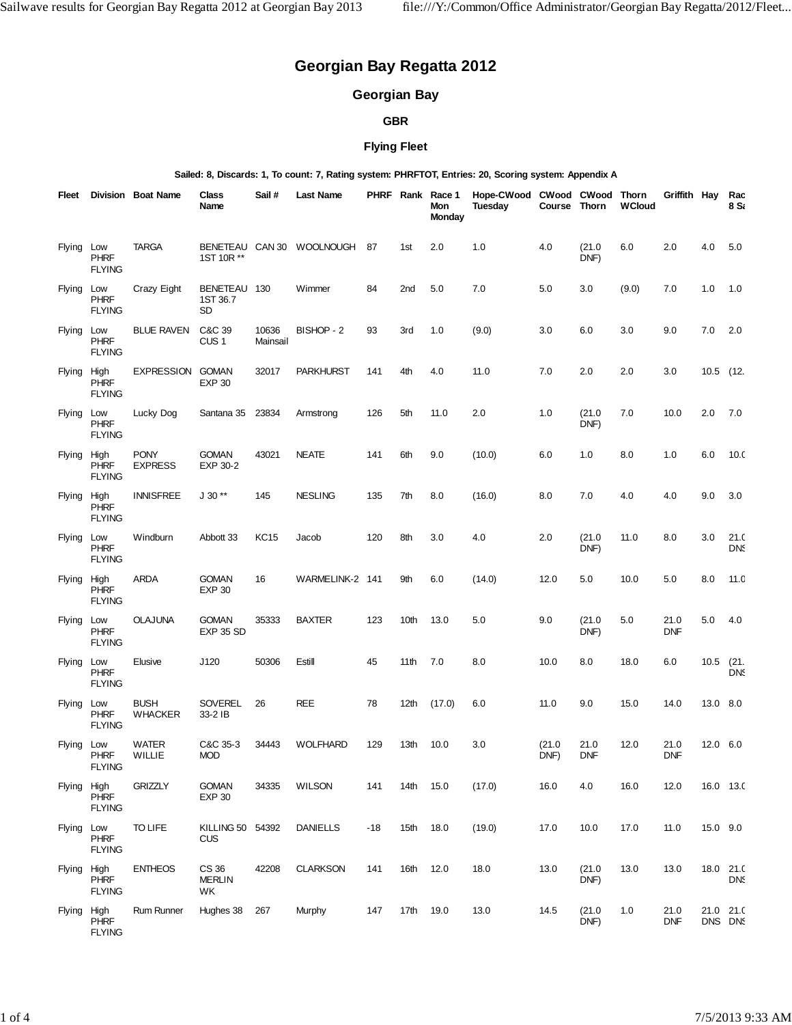# **Georgian Bay Regatta 2012**

## **Georgian Bay**

#### **GBR**

## **Flying Fleet**

**Sailed: 8, Discards: 1, To count: 7, Rating system: PHRFTOT, Entries: 20, Scoring system: Appendix A**

| Fleet         |                                      | Division Boat Name            | <b>Class</b><br>Name             | Sail#             | Last Name                 |       |                  | PHRF Rank Race 1<br>Mon<br><b>Monday</b> | Hope-CWood CWood CWood Thorn<br>Tuesday | Course Thorn   |                    | <b>WCloud</b> | Griffith Hay       |             | Rac<br>8 S.          |
|---------------|--------------------------------------|-------------------------------|----------------------------------|-------------------|---------------------------|-------|------------------|------------------------------------------|-----------------------------------------|----------------|--------------------|---------------|--------------------|-------------|----------------------|
| Flying        | Low<br><b>PHRF</b><br><b>FLYING</b>  | <b>TARGA</b>                  | 1ST 10R **                       |                   | BENETEAU CAN 30 WOOLNOUGH | 87    | 1st              | 2.0                                      | 1.0                                     | 4.0            | (21.0)<br>DNF)     | 6.0           | 2.0                | 4.0         | 5.0                  |
| Flying Low    | <b>PHRF</b><br><b>FLYING</b>         | Crazy Eight                   | BENETEAU 130<br>1ST 36.7<br>SD   |                   | Wimmer                    | 84    | 2nd              | 5.0                                      | 7.0                                     | 5.0            | 3.0                | (9.0)         | 7.0                | 1.0         | 1.0                  |
| Flying Low    | <b>PHRF</b><br><b>FLYING</b>         | <b>BLUE RAVEN</b>             | C&C 39<br>CUS <sub>1</sub>       | 10636<br>Mainsail | BISHOP - 2                | 93    | 3rd              | 1.0                                      | (9.0)                                   | 3.0            | 6.0                | 3.0           | 9.0                | 7.0         | 2.0                  |
| Flying High   | <b>PHRF</b><br><b>FLYING</b>         | EXPRESSION GOMAN              | <b>EXP 30</b>                    | 32017             | <b>PARKHURST</b>          | 141   | 4th              | 4.0                                      | 11.0                                    | 7.0            | 2.0                | 2.0           | 3.0                | $10.5$ (12. |                      |
| Flying Low    | <b>PHRF</b><br><b>FLYING</b>         | Lucky Dog                     | Santana 35                       | 23834             | Armstrong                 | 126   | 5th              | 11.0                                     | 2.0                                     | 1.0            | (21.0)<br>DNF)     | 7.0           | 10.0               | 2.0         | 7.0                  |
| Flying High   | <b>PHRF</b><br><b>FLYING</b>         | <b>PONY</b><br><b>EXPRESS</b> | <b>GOMAN</b><br>EXP 30-2         | 43021             | <b>NEATE</b>              | 141   | 6th              | 9.0                                      | (10.0)                                  | 6.0            | 1.0                | 8.0           | 1.0                | 6.0         | 10 <sub>c</sub>      |
| Flying        | High<br><b>PHRF</b><br><b>FLYING</b> | <b>INNISFREE</b>              | $J 30**$                         | 145               | <b>NESLING</b>            | 135   | 7th              | 8.0                                      | (16.0)                                  | 8.0            | 7.0                | 4.0           | 4.0                | 9.0         | 3.0                  |
| Flying Low    | <b>PHRF</b><br><b>FLYING</b>         | Windburn                      | Abbott 33                        | <b>KC15</b>       | Jacob                     | 120   | 8th              | 3.0                                      | 4.0                                     | 2.0            | (21.0)<br>DNF)     | 11.0          | 8.0                | 3.0         | 21.0<br><b>DNS</b>   |
| Flying High   | <b>PHRF</b><br><b>FLYING</b>         | ARDA                          | <b>GOMAN</b><br><b>EXP 30</b>    | 16                | WARMELINK-2 141           |       | 9th              | 6.0                                      | (14.0)                                  | 12.0           | 5.0                | 10.0          | 5.0                | 8.0         | 11.0                 |
| Flying        | Low<br><b>PHRF</b><br><b>FLYING</b>  | <b>OLAJUNA</b>                | <b>GOMAN</b><br><b>EXP 35 SD</b> | 35333             | <b>BAXTER</b>             | 123   | 10th             | 13.0                                     | 5.0                                     | 9.0            | (21.0)<br>DNF)     | 5.0           | 21.0<br><b>DNF</b> | 5.0         | 4.0                  |
| Flying Low    | <b>PHRF</b><br><b>FLYING</b>         | Elusive                       | J120                             | 50306             | Estill                    | 45    | 11th             | 7.0                                      | 8.0                                     | 10.0           | 8.0                | 18.0          | 6.0                | $10.5$ (21. | <b>DNS</b>           |
| Flying Low    | <b>PHRF</b><br><b>FLYING</b>         | <b>BUSH</b><br><b>WHACKER</b> | <b>SOVEREL</b><br>33-2 IB        | 26                | REE                       | 78    | 12 <sub>th</sub> | (17.0)                                   | 6.0                                     | 11.0           | 9.0                | 15.0          | 14.0               | 13.0 8.0    |                      |
| <b>Flying</b> | Low<br><b>PHRF</b><br><b>FLYING</b>  | <b>WATER</b><br>WILLIE        | C&C 35-3<br><b>MOD</b>           | 34443             | <b>WOLFHARD</b>           | 129   | 13th             | 10.0                                     | 3.0                                     | (21.0)<br>DNF) | 21.0<br><b>DNF</b> | 12.0          | 21.0<br><b>DNF</b> | 12.0 6.0    |                      |
| Flying High   | <b>PHRF</b><br><b>FLYING</b>         | <b>GRIZZLY</b>                | <b>GOMAN</b><br><b>EXP 30</b>    | 34335             | WILSON                    | 141   | 14th 15.0        |                                          | (17.0)                                  | 16.0           | 4.0                | 16.0          | 12.0               |             | 16.0 13.0            |
| Flying Low    | <b>PHRF</b><br><b>FLYING</b>         | TO LIFE                       | KILLING 50 54392<br><b>CUS</b>   |                   | <b>DANIELLS</b>           | $-18$ | 15th 18.0        |                                          | (19.0)                                  | 17.0           | 10.0               | 17.0          | 11.0               | 15.0 9.0    |                      |
| Flying High   | <b>PHRF</b><br><b>FLYING</b>         | <b>ENTHEOS</b>                | CS 36<br><b>MERLIN</b><br>WK.    | 42208             | <b>CLARKSON</b>           | 141   | 16th 12.0        |                                          | 18.0                                    | 13.0           | (21.0)<br>DNF)     | 13.0          | 13.0               |             | 18.0 21.0<br>DNS     |
| Flying High   | <b>PHRF</b><br><b>FLYING</b>         | Rum Runner                    | Hughes 38                        | 267               | Murphy                    | 147   | 17th 19.0        |                                          | 13.0                                    | 14.5           | (21.0)<br>DNF)     | 1.0           | 21.0<br><b>DNF</b> |             | 21.0 21.0<br>DNS DNS |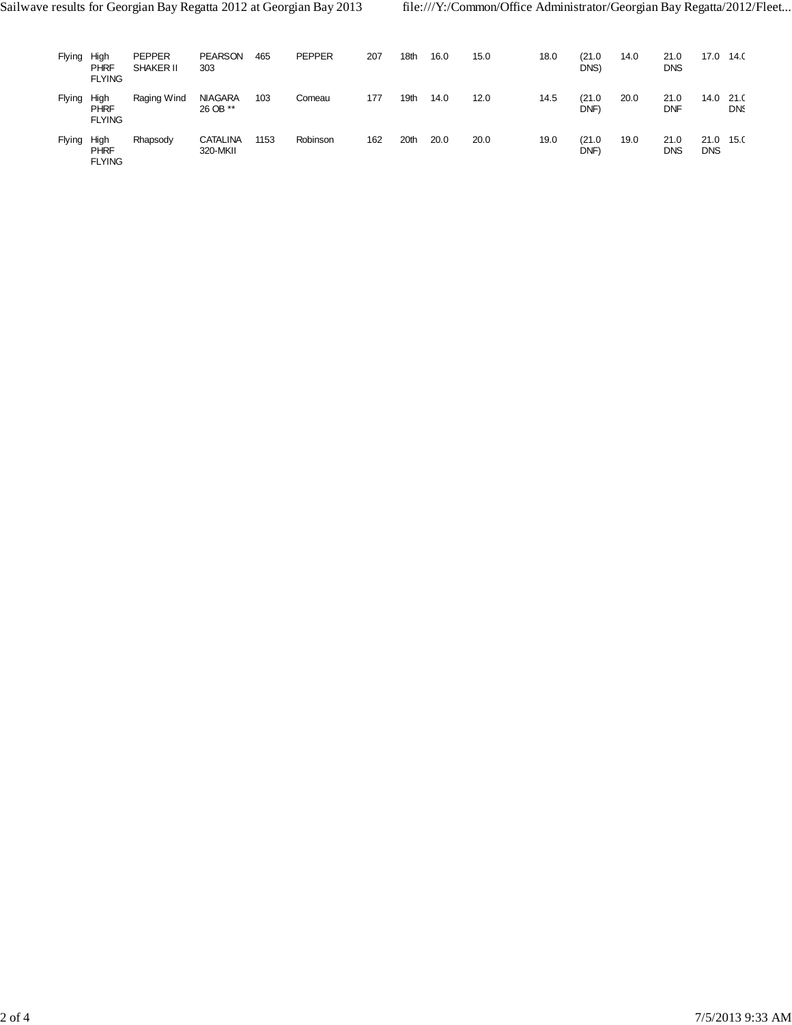| <b>Flying</b> | High<br><b>PHRF</b><br><b>FLYING</b> | <b>PEPPER</b><br>SHAKER II | <b>PEARSON</b><br>303       | 465  | <b>PEPPER</b> | 207 | 18th | 16.0 | 15.0 | 18.0 | (21.0<br>DNS)        | 14.0 | 21.0<br><b>DNS</b> | 17.0               | 14.0               |
|---------------|--------------------------------------|----------------------------|-----------------------------|------|---------------|-----|------|------|------|------|----------------------|------|--------------------|--------------------|--------------------|
| Flying        | High<br><b>PHRF</b><br><b>FLYING</b> | Raging Wind                | <b>NIAGARA</b><br>26 OB **  | 103  | Comeau        | 177 | 19th | 14.0 | 12.0 | 14.5 | (21.0)<br><b>DNF</b> | 20.0 | 21.0<br>DNF        | 14.0               | 21.0<br><b>DNS</b> |
| <b>Flying</b> | High<br>PHRF<br><b>FLYING</b>        | Rhapsody                   | <b>CATALINA</b><br>320-MKII | 1153 | Robinson      | 162 | 20th | 20.0 | 20.0 | 19.0 | (21.0<br><b>DNF</b>  | 19.0 | 21.0<br><b>DNS</b> | 21.0<br><b>DNS</b> | 15.0               |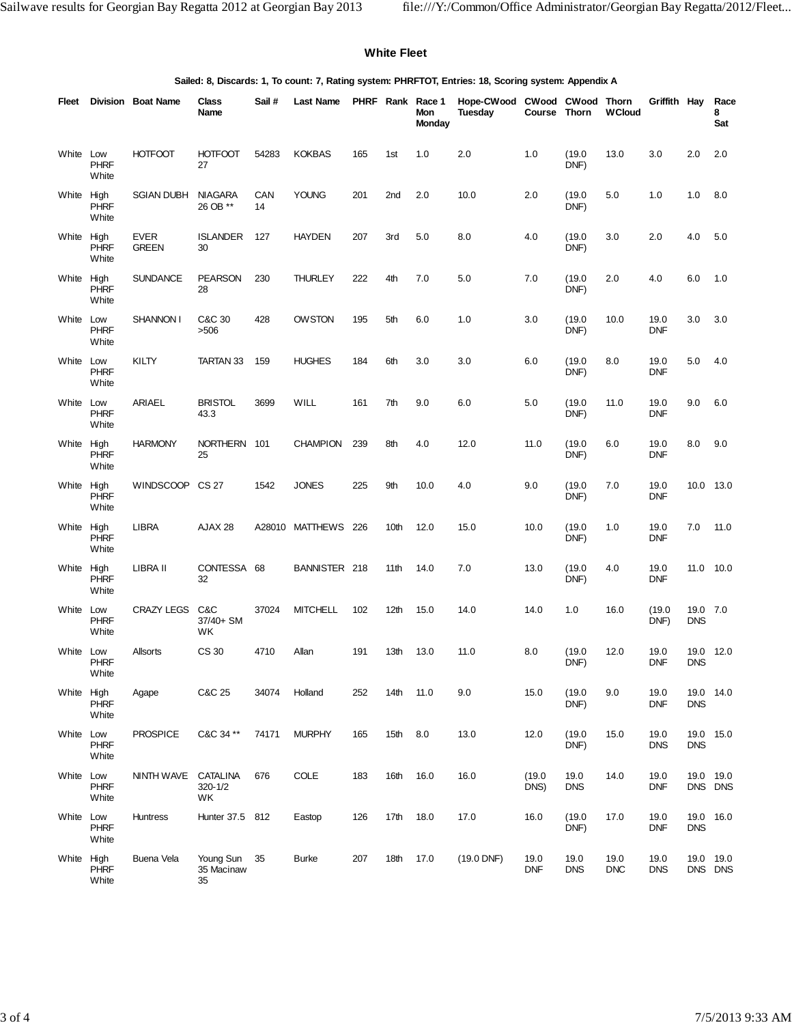#### **White Fleet**

**Sailed: 8, Discards: 1, To count: 7, Rating system: PHRFTOT, Entries: 18, Scoring system: Appendix A**

| Fleet      |                      | Division Boat Name          | Class<br>Name                    | Sail#     | Last Name           |     |                  | PHRF Rank Race 1<br>Mon<br>Monday | Hope-CWood CWood CWood Thorn<br><b>Tuesday</b> | Course Thorn       |                    | <b>WCloud</b> | Griffith Hay       |                        | Race<br>8<br>Sat     |
|------------|----------------------|-----------------------------|----------------------------------|-----------|---------------------|-----|------------------|-----------------------------------|------------------------------------------------|--------------------|--------------------|---------------|--------------------|------------------------|----------------------|
| White Low  | <b>PHRF</b><br>White | <b>HOTFOOT</b>              | <b>HOTFOOT</b><br>27             | 54283     | <b>KOKBAS</b>       | 165 | 1st              | 1.0                               | 2.0                                            | 1.0                | (19.0)<br>DNF)     | 13.0          | 3.0                | 2.0                    | 2.0                  |
| White High | <b>PHRF</b><br>White | <b>SGIAN DUBH</b>           | NIAGARA<br>26 OB **              | CAN<br>14 | <b>YOUNG</b>        | 201 | 2nd              | 2.0                               | 10.0                                           | 2.0                | (19.0)<br>DNF)     | 5.0           | 1.0                | 1.0                    | 8.0                  |
| White High | <b>PHRF</b><br>White | <b>EVER</b><br><b>GREEN</b> | <b>ISLANDER</b><br>30            | 127       | <b>HAYDEN</b>       | 207 | 3rd              | 5.0                               | 8.0                                            | 4.0                | (19.0)<br>DNF)     | 3.0           | 2.0                | 4.0                    | 5.0                  |
| White High | <b>PHRF</b><br>White | <b>SUNDANCE</b>             | <b>PEARSON</b><br>28             | 230       | <b>THURLEY</b>      | 222 | 4th              | 7.0                               | 5.0                                            | 7.0                | (19.0)<br>DNF)     | 2.0           | 4.0                | 6.0                    | 1.0                  |
| White Low  | <b>PHRF</b><br>White | <b>SHANNON I</b>            | C&C 30<br>>506                   | 428       | <b>OWSTON</b>       | 195 | 5th              | 6.0                               | 1.0                                            | 3.0                | (19.0)<br>DNF)     | 10.0          | 19.0<br><b>DNF</b> | 3.0                    | 3.0                  |
| White Low  | <b>PHRF</b><br>White | KILTY                       | TARTAN 33                        | 159       | <b>HUGHES</b>       | 184 | 6th              | 3.0                               | 3.0                                            | 6.0                | (19.0)<br>DNF)     | 8.0           | 19.0<br><b>DNF</b> | 5.0                    | 4.0                  |
| White Low  | <b>PHRF</b><br>White | <b>ARIAEL</b>               | <b>BRISTOL</b><br>43.3           | 3699      | WILL                | 161 | 7th              | 9.0                               | 6.0                                            | 5.0                | (19.0)<br>DNF)     | 11.0          | 19.0<br><b>DNF</b> | 9.0                    | 6.0                  |
| White High | <b>PHRF</b><br>White | <b>HARMONY</b>              | NORTHERN 101<br>25               |           | <b>CHAMPION</b>     | 239 | 8th              | 4.0                               | 12.0                                           | 11.0               | (19.0)<br>DNF)     | 6.0           | 19.0<br><b>DNF</b> | 8.0                    | 9.0                  |
| White High | <b>PHRF</b><br>White | WINDSCOOP CS 27             |                                  | 1542      | <b>JONES</b>        | 225 | 9th              | 10.0                              | 4.0                                            | 9.0                | (19.0)<br>DNF)     | 7.0           | 19.0<br><b>DNF</b> | 10.0                   | 13.0                 |
| White High | <b>PHRF</b><br>White | <b>LIBRA</b>                | AJAX 28                          |           | A28010 MATTHEWS 226 |     | 10th             | 12.0                              | 15.0                                           | 10.0               | (19.0)<br>DNF)     | 1.0           | 19.0<br><b>DNF</b> | 7.0                    | 11.0                 |
| White High | <b>PHRF</b><br>White | LIBRA II                    | CONTESSA 68<br>32                |           | BANNISTER 218       |     | 11 <sup>th</sup> | 14.0                              | 7.0                                            | 13.0               | (19.0)<br>DNF)     | 4.0           | 19.0<br><b>DNF</b> |                        | 11.0 10.0            |
| White Low  | <b>PHRF</b><br>White | <b>CRAZY LEGS</b>           | C&C<br>37/40+ SM<br>WK.          | 37024     | <b>MITCHELL</b>     | 102 | 12th             | 15.0                              | 14.0                                           | 14.0               | 1.0                | 16.0          | (19.0)<br>DNF)     | 19.0 7.0<br><b>DNS</b> |                      |
| White Low  | <b>PHRF</b><br>White | <b>Allsorts</b>             | CS 30                            | 4710      | Allan               | 191 | 13th             | 13.0                              | 11.0                                           | 8.0                | (19.0)<br>DNF)     | 12.0          | 19.0<br><b>DNF</b> | 19.0<br><b>DNS</b>     | 12.0                 |
| White High | <b>PHRF</b><br>White | Agape                       | C&C 25                           | 34074     | Holland             | 252 | 14 <sub>th</sub> | 11.0                              | 9.0                                            | 15.0               | (19.0)<br>DNF)     | 9.0           | 19.0<br><b>DNF</b> | <b>DNS</b>             | 19.0 14.0            |
| White Low  | <b>PHRF</b><br>White | <b>PROSPICE</b>             | C&C 34 **                        | 74171     | <b>MURPHY</b>       | 165 | 15 <sub>th</sub> | 8.0                               | 13.0                                           | 12.0               | (19.0)<br>DNF)     | 15.0          | 19.0<br><b>DNS</b> | <b>DNS</b>             | 19.0 15.0            |
| White Low  | <b>PHRF</b><br>White | NINTH WAVE CATALINA         | 320-1/2<br>WK                    | 676       | COLE                | 183 | 16th             | 16.0                              | 16.0                                           | (19.0)<br>DNS)     | 19.0<br><b>DNS</b> | 14.0          | 19.0<br><b>DNF</b> |                        | 19.0 19.0<br>DNS DNS |
| White Low  | PHRF<br>White        | <b>Huntress</b>             | Hunter 37.5 812                  |           | Eastop              | 126 | 17th             | 18.0                              | 17.0                                           | 16.0               | (19.0)<br>DNF)     | 17.0          | 19.0<br><b>DNF</b> | <b>DNS</b>             | 19.0 16.0            |
| White High | <b>PHRF</b><br>White | Buena Vela                  | Young Sun 35<br>35 Macinaw<br>35 |           | <b>Burke</b>        | 207 | 18th             | 17.0                              | $(19.0$ DNF)                                   | 19.0<br><b>DNF</b> | 19.0<br>DNS        | 19.0<br>DNC   | 19.0<br><b>DNS</b> |                        | 19.0 19.0<br>DNS DNS |